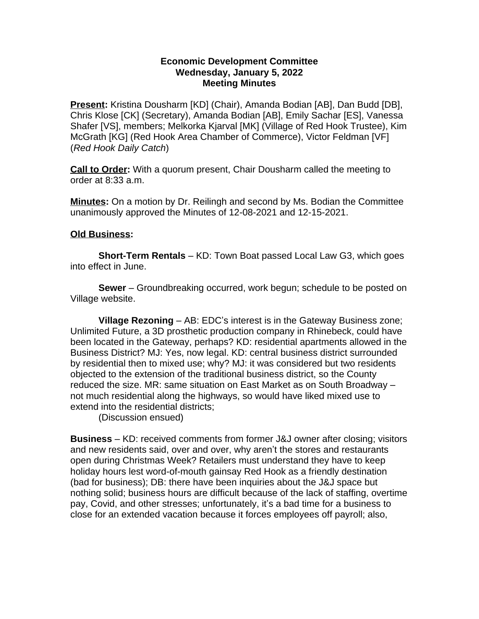### **Economic Development Committee Wednesday, January 5, 2022 Meeting Minutes**

**Present:** Kristina Dousharm [KD] (Chair), Amanda Bodian [AB], Dan Budd [DB], Chris Klose [CK] (Secretary), Amanda Bodian [AB], Emily Sachar [ES], Vanessa Shafer [VS], members; Melkorka Kjarval [MK] (Village of Red Hook Trustee), Kim McGrath [KG] (Red Hook Area Chamber of Commerce), Victor Feldman [VF] (*Red Hook Daily Catch*)

**Call to Order:** With a quorum present, Chair Dousharm called the meeting to order at 8:33 a.m.

**Minutes:** On a motion by Dr. Reilingh and second by Ms. Bodian the Committee unanimously approved the Minutes of 12-08-2021 and 12-15-2021.

## **Old Business:**

**Short-Term Rentals** – KD: Town Boat passed Local Law G3, which goes into effect in June.

**Sewer** – Groundbreaking occurred, work begun; schedule to be posted on Village website.

**Village Rezoning** – AB: EDC's interest is in the Gateway Business zone; Unlimited Future, a 3D prosthetic production company in Rhinebeck, could have been located in the Gateway, perhaps? KD: residential apartments allowed in the Business District? MJ: Yes, now legal. KD: central business district surrounded by residential then to mixed use; why? MJ: it was considered but two residents objected to the extension of the traditional business district, so the County reduced the size. MR: same situation on East Market as on South Broadway – not much residential along the highways, so would have liked mixed use to extend into the residential districts;

(Discussion ensued)

**Business** – KD: received comments from former J&J owner after closing; visitors and new residents said, over and over, why aren't the stores and restaurants open during Christmas Week? Retailers must understand they have to keep holiday hours lest word-of-mouth gainsay Red Hook as a friendly destination (bad for business); DB: there have been inquiries about the J&J space but nothing solid; business hours are difficult because of the lack of staffing, overtime pay, Covid, and other stresses; unfortunately, it's a bad time for a business to close for an extended vacation because it forces employees off payroll; also,